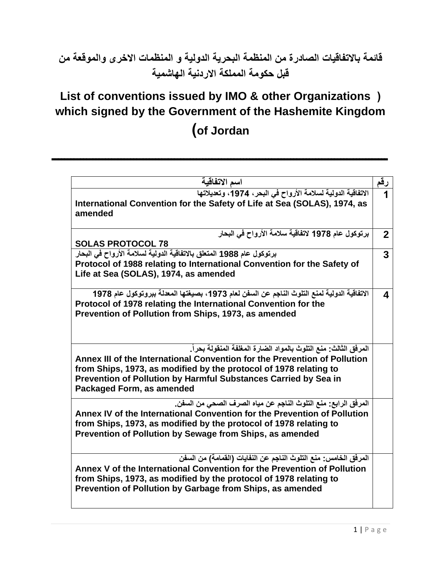## **قائمة باالتفاقيات الصادرة من المنظمة البحرية الدولية و المنظمات االخرى والموقعة من قبل حكومة المملكة االردنية الهاشمية**

## **List of conventions issued by IMO & other Organizations ( which signed by the Government of the Hashemite Kingdom )of Jordan**

**ـــــــــــــــــــــــــــــــــــــــــــــــــــــــــــــــــــــــــــــــــــــــــــــــــــــــــــ** 

| اسم الاتفاقية                                                                                                                                                                                                                                                                                                      | رقم            |
|--------------------------------------------------------------------------------------------------------------------------------------------------------------------------------------------------------------------------------------------------------------------------------------------------------------------|----------------|
| الاتفاقية الدولية لسلامة الأرواح في البحر، 1974، وتعديلاتها<br>International Convention for the Safety of Life at Sea (SOLAS), 1974, as<br>amended                                                                                                                                                                 |                |
| برتوكول عام 1978 لاتفاقية سلامة الأرواح في البحار<br><b>SOLAS PROTOCOL 78</b>                                                                                                                                                                                                                                      | $\overline{2}$ |
| برتوكول عام 1988 المتعلق بالاتفاقية الدولية لسلامة الأرواح في البحار                                                                                                                                                                                                                                               | 3              |
| Protocol of 1988 relating to International Convention for the Safety of<br>Life at Sea (SOLAS), 1974, as amended                                                                                                                                                                                                   |                |
| الاتفاقية الدولية لمنع التلوث الناجم عن السفن لعام 1973، بصيغتها المعدلة ببروتوكول عام 1978<br>Protocol of 1978 relating the International Convention for the<br>Prevention of Pollution from Ships, 1973, as amended                                                                                              | 4              |
| المرفق الثالث: منع التلوث بالمواد الضارة المغلفة المنقولة بحراً.<br>Annex III of the International Convention for the Prevention of Pollution<br>from Ships, 1973, as modified by the protocol of 1978 relating to<br>Prevention of Pollution by Harmful Substances Carried by Sea in<br>Packaged Form, as amended |                |
| المرفق الرابع: منع التلوث الناجم عن مياه الصرف الصحي من السفن.<br>Annex IV of the International Convention for the Prevention of Pollution<br>from Ships, 1973, as modified by the protocol of 1978 relating to<br>Prevention of Pollution by Sewage from Ships, as amended                                        |                |
| المرفق الخامس: منع التلوث الناجم عن النفايات (القمامة) من السفن<br>Annex V of the International Convention for the Prevention of Pollution<br>from Ships, 1973, as modified by the protocol of 1978 relating to<br>Prevention of Pollution by Garbage from Ships, as amended                                       |                |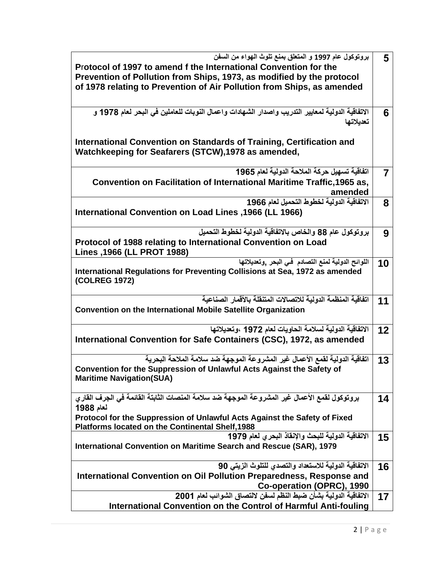| بروتوكول عام 1997 و المتعلق بمنع تلوث المهواء من السفن                                         | 5              |
|------------------------------------------------------------------------------------------------|----------------|
| Protocol of 1997 to amend f the International Convention for the                               |                |
|                                                                                                |                |
| Prevention of Pollution from Ships, 1973, as modified by the protocol                          |                |
| of 1978 relating to Prevention of Air Pollution from Ships, as amended                         |                |
|                                                                                                |                |
|                                                                                                |                |
| الاتفاقية الدولية لمعايير التدريب واصدار الشهادات واعمال النوبات للعاملين في البحر لعام 1978 و | 6              |
| تعديلاتها                                                                                      |                |
|                                                                                                |                |
| International Convention on Standards of Training, Certification and                           |                |
|                                                                                                |                |
| Watchkeeping for Seafarers (STCW), 1978 as amended,                                            |                |
|                                                                                                |                |
| اتفاقية تسهيل حركة الملاحة الدولية لعام 1965                                                   | $\overline{7}$ |
| Convention on Facilitation of International Maritime Traffic, 1965 as,                         |                |
|                                                                                                |                |
| amended                                                                                        |                |
| الاتفاقية الدولية لخطوط التحميل لعام 1966                                                      | 8              |
| International Convention on Load Lines , 1966 (LL 1966)                                        |                |
|                                                                                                |                |
| بروتوكول عام 88 والخاص بالاتفاقية الدولية لخطوط التحميل                                        |                |
|                                                                                                | 9              |
| Protocol of 1988 relating to International Convention on Load                                  |                |
| Lines , 1966 (LL PROT 1988)                                                                    |                |
| اللوائح الدولية لمنع التصادم فى البحر ,وتعديلاتها                                              | 10             |
| International Regulations for Preventing Collisions at Sea, 1972 as amended                    |                |
| (COLREG 1972)                                                                                  |                |
|                                                                                                |                |
|                                                                                                |                |
| اتفاقية المنظمة الدولية للاتصالات المتنقلة بالأقمار الصناعية                                   | 11             |
| <b>Convention on the International Mobile Satellite Organization</b>                           |                |
|                                                                                                |                |
| الاتفاقية الدولية لسلامة الحاويات لعام 1972 ،وتعديلاتها                                        | 12             |
| International Convention for Safe Containers (CSC), 1972, as amended                           |                |
|                                                                                                |                |
|                                                                                                |                |
| اتفاقية الدولية لقمع الأعمال غير المشروعة الموجهة ضد سلامة الملاحة البحرية                     | 13             |
| Convention for the Suppression of Unlawful Acts Against the Safety of                          |                |
| <b>Maritime Navigation(SUA)</b>                                                                |                |
|                                                                                                |                |
| بروتوكول لقمع الأعمال غير المشروعة الموجهة ضد سلامة المنصات الثابتة القائمة في الجرف القاري    | 14             |
|                                                                                                |                |
| لعام 1988                                                                                      |                |
| Protocol for the Suppression of Unlawful Acts Against the Safety of Fixed                      |                |
| <b>Platforms located on the Continental Shelf, 1988</b>                                        |                |
| الاتفاقية الدولية للبحث والإنقاذ البحري لعام 1979                                              | 15             |
| International Convention on Maritime Search and Rescue (SAR), 1979                             |                |
|                                                                                                |                |
|                                                                                                |                |
| الاتفاقية الدولية للاستعداد والتصدى للتلوث الزيتى 90                                           | 16             |
| International Convention on Oil Pollution Preparedness, Response and                           |                |
| Co-operation (OPRC), 1990                                                                      |                |
| الاتفاقية الدولية بشأن ضبط النظم لسفن لالتصاق الشوائب لعام 2001                                | 17             |
|                                                                                                |                |
| International Convention on the Control of Harmful Anti-fouling                                |                |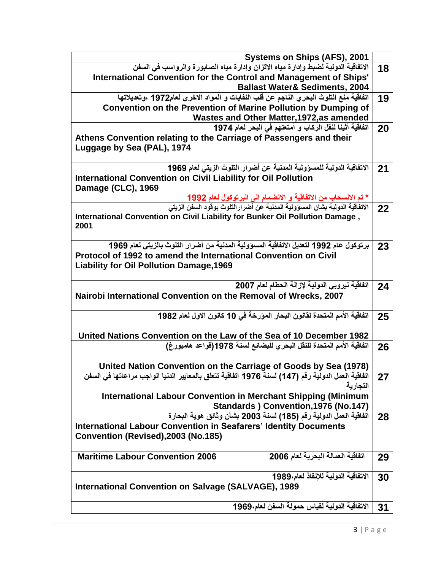| Systems on Ships (AFS), 2001                                                                                                                                     |    |
|------------------------------------------------------------------------------------------------------------------------------------------------------------------|----|
| الاتفاقية الدولية لضبط وإدارة مياه الاتزان وإدارة مياه الصابورة والرواسب في السفن                                                                                | 18 |
| International Convention for the Control and Management of Ships'                                                                                                |    |
| <b>Ballast Water&amp; Sediments, 2004</b>                                                                                                                        |    |
| اتفاقية منع التلوث البحري الناجم عن قلب النفايات و المواد الاخرى لعام1972 ،وتعديلاتها                                                                            | 19 |
| Convention on the Prevention of Marine Pollution by Dumping of                                                                                                   |    |
| Wastes and Other Matter, 1972, as amended                                                                                                                        |    |
| اتفاقية أثينا لنقل الركاب و أمتعتهم في البحر لعام 1974                                                                                                           | 20 |
| Athens Convention relating to the Carriage of Passengers and their                                                                                               |    |
| Luggage by Sea (PAL), 1974                                                                                                                                       |    |
|                                                                                                                                                                  |    |
| الاتفاقية الدولية للمسؤولية المدنية عن أضرار التلوث الزيتي لعام 1969                                                                                             | 21 |
| <b>International Convention on Civil Liability for Oil Pollution</b>                                                                                             |    |
| Damage (CLC), 1969                                                                                                                                               |    |
| * تم الانسحاب من الاتفاقية و الانضمام الى البرتوكول لعام <mark>1992</mark><br>الاتفاقية الدولية بشان المسؤولية المدنية عن أضرارالتلوث بوفود السفن الزيت <i>ى</i> |    |
|                                                                                                                                                                  | 22 |
| International Convention on Civil Liability for Bunker Oil Pollution Damage,                                                                                     |    |
| 2001                                                                                                                                                             |    |
| برتوكول عام 1992 لتعديل الاتفاقية المسؤولية المدنية من أضرار التلوث بالزيتي لعام 1969                                                                            |    |
| Protocol of 1992 to amend the International Convention on Civil                                                                                                  | 23 |
| <b>Liability for Oil Pollution Damage, 1969</b>                                                                                                                  |    |
|                                                                                                                                                                  |    |
| اتفاقية نيروبي الدولية لإزالة الحطام لعام 2007                                                                                                                   | 24 |
| Nairobi International Convention on the Removal of Wrecks, 2007                                                                                                  |    |
|                                                                                                                                                                  |    |
| اتفاقية الأمم المتحدة لقانون البحار المورخة في 10 كانون الاول لعام 1982                                                                                          | 25 |
|                                                                                                                                                                  |    |
| United Nations Convention on the Law of the Sea of 10 December 1982                                                                                              |    |
| اتفاقية الأمم المتحدة للنقل البحر ى للبضائع لسنة 1978(قواعد هامبورغ)                                                                                             | 26 |
|                                                                                                                                                                  |    |
| United Nation Convention on the Carriage of Goods by Sea (1978)                                                                                                  |    |
| اتفاقيه العمل الدوليه رقم (147) لسنة 1976 اتفاقيه تتعلق بالمعايير الدنيا الواجب مراعاتها في السفن                                                                | 27 |
| التجار بة                                                                                                                                                        |    |
| <b>International Labour Convention in Merchant Shipping (Minimum</b>                                                                                             |    |
| Standards ) Convention, 1976 (No.147)                                                                                                                            |    |
| اتفاقية العمل الدولية رقم (185) لسنة 2003 بشأن وثائق هوية البحارة                                                                                                | 28 |
| <b>International Labour Convention in Seafarers' Identity Documents</b>                                                                                          |    |
| Convention (Revised), 2003 (No.185)                                                                                                                              |    |
|                                                                                                                                                                  |    |
| اتفاقية العمالة البحرية لعام 2006<br><b>Maritime Labour Convention 2006</b>                                                                                      | 29 |
|                                                                                                                                                                  |    |
| الاتفاقية الدولية للإنقاذ لعام،1989                                                                                                                              | 30 |
| <b>International Convention on Salvage (SALVAGE), 1989</b>                                                                                                       |    |
|                                                                                                                                                                  |    |
| الاتفاقية الدولية لقياس حمولة السفن لعام،1969                                                                                                                    | 31 |